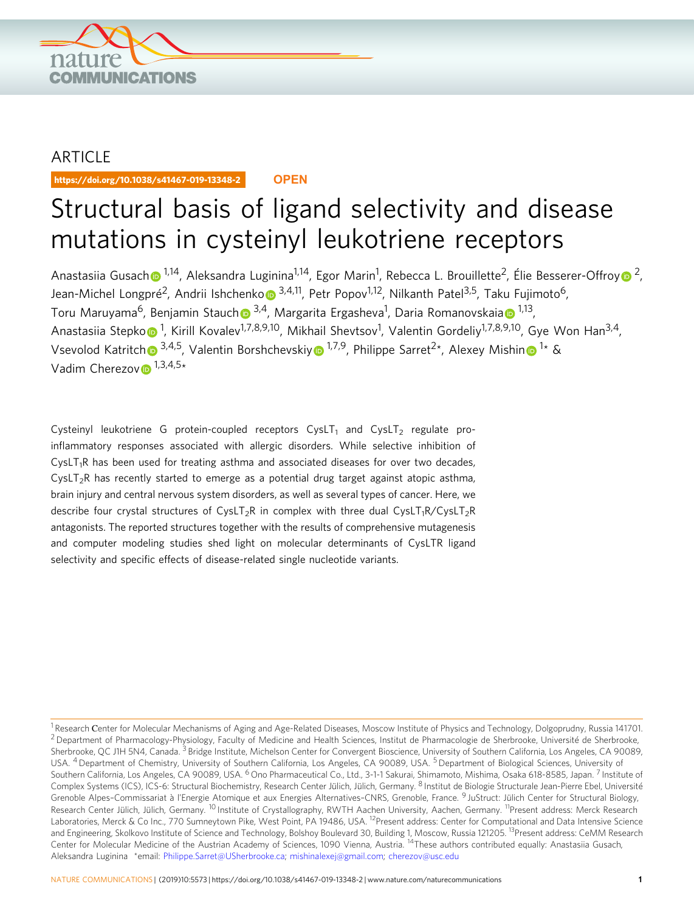

# ARTICLE

https://doi.org/10.1038/s41467-019-13348-2 **OPEN**

# Structural basis of ligand selectivity and disease mutations in cysteinyl leukotriene receptors

Anastasiia Gusac[h](http://orcid.org/0000-0002-2594-8573) $\odot$  <sup>[1](http://orcid.org/0000-0002-2594-8573),14</sup>, Aleksandra Luginina<sup>1,14</sup>, Egor Marin<sup>1</sup>, Rebecca L. Brouillette<sup>2</sup>, Élie Besserer-Offro[y](http://orcid.org/0000-0002-7473-7043) $\odot$  <sup>[2](http://orcid.org/0000-0002-7473-7043)</sup>, Jean-Michel L[o](http://orcid.org/0000-0002-3797-0604)ngpré<sup>2</sup>, Andrii Ishchenko <sup>3,4,11</sup>, Petr Popov<sup>1,12</sup>, Nilkanth Patel<sup>3,5</sup>, Taku Fujimoto<sup>6</sup>, Toru Maruyama<sup>6</sup>, Benjamin Stauc[h](http://orcid.org/0000-0001-7626-2021)⊕ <sup>[3](http://orcid.org/0000-0001-7626-2021),4</sup>, M[a](http://orcid.org/0000-0003-2831-0919)rgarita Ergasheva<sup>[1](http://orcid.org/0000-0003-2831-0919)</sup>, Daria Romanovskaia⊕ <sup>1,13</sup>, Anastasiia Stepk[o](http://orcid.org/0000-0003-4603-0371)�<sup>[1](http://orcid.org/0000-0003-4603-0371)</sup>, Kirill Kovalev<sup>1,7,8,9,10</sup>, Mikhail Shevtsov<sup>1</sup>, Valentin Gordeliy<sup>1,7,8,9,10</sup>, Gye Won Han<sup>3,4</sup>, Vsevolod Katritc[h](http://orcid.org/0000-0003-3883-4505) <sup>[3](http://orcid.org/0000-0003-3883-4505),4,5</sup>, Valentin Borshchevski[y](http://orcid.org/0000-0003-4398-9712) <sup>[1](http://orcid.org/0000-0003-4398-9712),7,9</sup>, Philippe Sarret<sup>2\*</sup>, Alexey Mishi[n](http://orcid.org/0000-0003-3759-380X) <sup>1\*</sup> & Vadim Cherezo[v](http://orcid.org/0000-0002-5265-3914)  $1,3,4,5*$ 

Cysteinyl leukotriene G protein-coupled receptors  $CysLT_1$  and  $CysLT_2$  regulate proinflammatory responses associated with allergic disorders. While selective inhibition of  $CysLT<sub>1</sub>R$  has been used for treating asthma and associated diseases for over two decades,  $CysLT<sub>2</sub>R$  has recently started to emerge as a potential drug target against atopic asthma, brain injury and central nervous system disorders, as well as several types of cancer. Here, we describe four crystal structures of CysLT<sub>2</sub>R in complex with three dual CysLT<sub>1</sub>R/CysLT<sub>2</sub>R antagonists. The reported structures together with the results of comprehensive mutagenesis and computer modeling studies shed light on molecular determinants of CysLTR ligand selectivity and specific effects of disease-related single nucleotide variants.

<sup>&</sup>lt;sup>1</sup> Research Center for Molecular Mechanisms of Aging and Age-Related Diseases, Moscow Institute of Physics and Technology, Dolgoprudny, Russia 141701. <sup>2</sup> Department of Pharmacology-Physiology, Faculty of Medicine and Health Sciences, Institut de Pharmacologie de Sherbrooke, Université de Sherbrooke, Sherbrooke, QC J1H 5N4, Canada. <sup>3</sup> Bridge Institute, Michelson Center for Convergent Bioscience, University of Southern California, Los Angeles, CA 90089, USA. <sup>4</sup> Department of Chemistry, University of Southern California, Los Angeles, CA 90089, USA. <sup>5</sup> Department of Biological Sciences, University of Southern California, Los Angeles, CA 90089, USA. <sup>6</sup> Ono Pharmaceutical Co., Ltd., 3-1-1 Sakurai, Shimamoto, Mishima, Osaka 618-8585, Japan. <sup>7</sup> Institute of Complex Systems (ICS), ICS-6: Structural Biochemistry, Research Center Jülich, Jülich, Germany. <sup>8</sup> Institut de Biologie Structurale Jean-Pierre Ebel, Université Grenoble Alpes-Commissariat à l'Energie Atomique et aux Energies Alternatives-CNRS, Grenoble, France. <sup>9</sup> JuStruct: Jülich Center for Structural Biology, Research Center Jülich, Jülich, Germany. <sup>10</sup> Institute of Crystallography, RWTH Aachen University, Aachen, Germany. <sup>11</sup>Present address: Merck Research Laboratories, Merck & Co Inc., 770 Sumneytown Pike, West Point, PA 19486, USA. <sup>12</sup>Present address: Center for Computational and Data Intensive Science and Engineering, Skolkovo Institute of Science and Technology, Bolshoy Boulevard 30, Building 1, Moscow, Russia 121205. <sup>13</sup>Present address: CeMM Research Center for Molecular Medicine of the Austrian Academy of Sciences, 1090 Vienna, Austria. 14These authors contributed equally: Anastasiia Gusach, Aleksandra Luginina \*email: [Philippe.Sarret@USherbrooke.ca](mailto:Philippe.Sarret@USherbrooke.ca); [mishinalexej@gmail.com](mailto:mishinalexej@gmail.com); [cherezov@usc.edu](mailto:cherezov@usc.edu)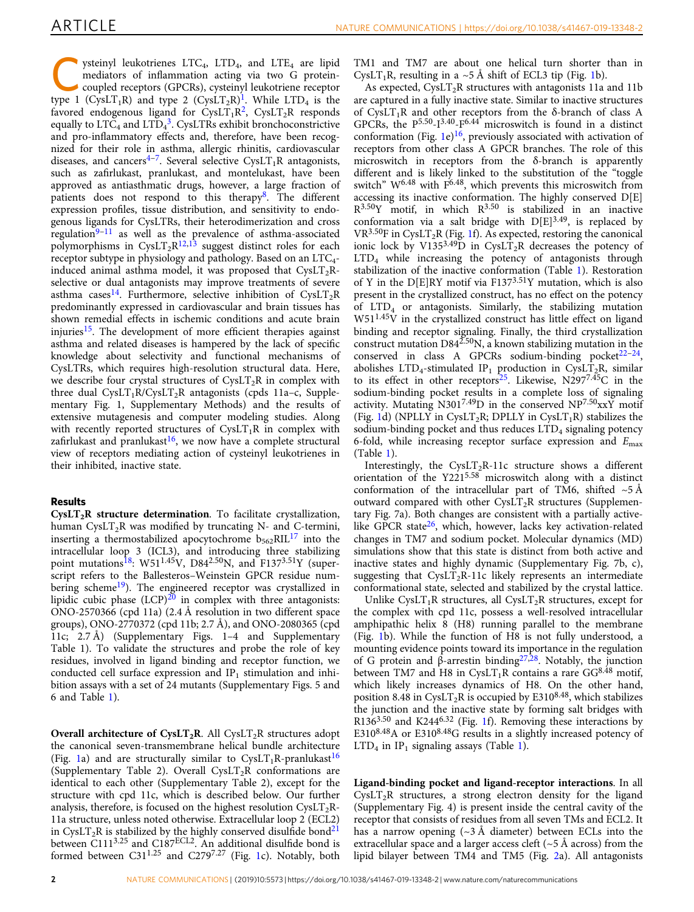ysteinyl leukotrienes LTC<sub>4</sub>, LTD<sub>4</sub>, and LTE<sub>4</sub> are lipid mediators of inflammation acting via two G proteincoupled receptors (GPCRs), cysteinyl leukotriene receptor type [1](#page-7-0) (CysLT<sub>1</sub>R) and type 2 (CysLT<sub>2</sub>R)<sup>1</sup>. While LTD<sub>4</sub> is the favored endogenous ligand for  $CvslT_1R^2$ ,  $CvslT_2R$  responds equally to  $\text{LTC}_4$  and  $\text{LTD}_4^3$  $\text{LTD}_4^3$ . CysLTRs exhibit bronchoconstrictive and pro-inflammatory effects and, therefore, have been recognized for their role in asthma, allergic rhinitis, cardiovascular diseases, and cancers<sup>[4](#page-7-0)-7</sup>. Several selective CysLT<sub>1</sub>R antagonists, such as zafirlukast, pranlukast, and montelukast, have been approved as antiasthmatic drugs, however, a large fraction of patients does not respond to this therapy<sup>8</sup>. The different expression profiles, tissue distribution, and sensitivity to endogenous ligands for CysLTRs, their heterodimerization and cross regulation $9-11$  $9-11$  $9-11$  as well as the prevalence of asthma-associated polymorphisms in CysLT<sub>2</sub>R<sup>[12](#page-7-0),[13](#page-7-0)</sup> suggest distinct roles for each receptor subtype in physiology and pathology. Based on an LTC<sub>4</sub>induced animal asthma model, it was proposed that  $CysLT<sub>2</sub>R$ selective or dual antagonists may improve treatments of severe asthma cases<sup>[14](#page-7-0)</sup>. Furthermore, selective inhibition of CysLT<sub>2</sub>R predominantly expressed in cardiovascular and brain tissues has shown remedial effects in ischemic conditions and acute brain injuries<sup>[15](#page-7-0)</sup>. The development of more efficient therapies against asthma and related diseases is hampered by the lack of specific knowledge about selectivity and functional mechanisms of CysLTRs, which requires high-resolution structural data. Here, we describe four crystal structures of  $CysLT<sub>2</sub>R$  in complex with three dual  $CysLT_1R/CysLT_2R$  antagonists (cpds 11a–c, Supplementary Fig. 1, Supplementary Methods) and the results of extensive mutagenesis and computer modeling studies. Along with recently reported structures of  $CysLT_1R$  in complex with zafirlukast and pranlukast<sup>16</sup>, we now have a complete structural view of receptors mediating action of cysteinyl leukotrienes in their inhibited, inactive state.

## Results

 $CysLT<sub>2</sub>R$  structure determination. To facilitate crystallization, human  $CysLT<sub>2</sub>R$  was modified by truncating N- and C-termini, inserting a thermostabilized apocytochrome  $b_{562}RIL^{17}$  $b_{562}RIL^{17}$  $b_{562}RIL^{17}$  into the intracellular loop 3 (ICL3), and introducing three stabilizing point mutations<sup>[18](#page-7-0)</sup>: W51<sup>1.45</sup>V, D84<sup>2.50</sup>N, and F137<sup>3.51</sup>Y (superscript refers to the Ballesteros–Weinstein GPCR residue numbering scheme<sup>19</sup>). The engineered receptor was crystallized in lipidic cubic phase  $(LCP)^{20}$  $(LCP)^{20}$  $(LCP)^{20}$  in complex with three antagonists: ONO-2570366 (cpd 11a) (2.4 Å resolution in two different space groups), ONO-2770372 (cpd 11b; 2.7 Å), and ONO-2080365 (cpd 11c; 2.7 Å) (Supplementary Figs. 1–4 and Supplementary Table 1). To validate the structures and probe the role of key residues, involved in ligand binding and receptor function, we conducted cell surface expression and  $IP_1$  stimulation and inhibition assays with a set of 24 mutants (Supplementary Figs. 5 and 6 and Table [1](#page-2-0)).

Overall architecture of  $CysLT_2R$ . All  $CysLT_2R$  structures adopt the canonical seven-transmembrane helical bundle architecture (Fig. [1a](#page-2-0)) and are structurally similar to  $CysLT_1R$ -pranlukast<sup>[16](#page-7-0)</sup> (Supplementary Table 2). Overall  $CysLT<sub>2</sub>R$  conformations are identical to each other (Supplementary Table 2), except for the structure with cpd 11c, which is described below. Our further analysis, therefore, is focused on the highest resolution  $CysLT<sub>2</sub>R-$ 11a structure, unless noted otherwise. Extracellular loop 2 (ECL2) in CysLT<sub>2</sub>R is stabilized by the highly conserved disulfide bond<sup>21</sup> between C1113.25 and C187ECL2. An additional disulfide bond is formed between  $C31^{1.25}$  $C31^{1.25}$  $C31^{1.25}$  and  $C279^{7.27}$  (Fig. 1c). Notably, both TM1 and TM7 are about one helical turn shorter than in CysLT<sub>[1](#page-2-0)</sub>R, resulting in a  $\sim$  5 Å shift of ECL3 tip (Fig. 1b).

As expected,  $CysLT<sub>2</sub>R$  structures with antagonists 11a and 11b are captured in a fully inactive state. Similar to inactive structures of CysLT<sub>1</sub>R and other receptors from the  $\delta$ -branch of class A GPCRs, the P<sup>5.50</sup>-I<sup>3.40</sup>-F<sup>6.44</sup> microswitch is found in a distinct conformation (Fig. [1e](#page-2-0))<sup>[16](#page-7-0)</sup>, previously associated with activation of receptors from other class A GPCR branches. The role of this microswitch in receptors from the δ-branch is apparently different and is likely linked to the substitution of the "toggle switch"  $W^{6.48}$  with  $F^{6.48}$ , which prevents this microswitch from accessing its inactive conformation. The highly conserved D[E]  $R^{3.50}Y$  motif, in which  $R^{3.50}$  is stabilized in an inactive conformation via a salt bridge with  $D[E]^{3.49}$ , is replaced by  $VR^{3.50}F$  in CysLT<sub>2</sub>R (Fig. [1f](#page-2-0)). As expected, restoring the canonical ionic lock by V135<sup>3.49</sup>D in CysLT<sub>2</sub>R decreases the potency of LTD4 while increasing the potency of antagonists through stabilization of the inactive conformation (Table [1](#page-2-0)). Restoration of Y in the  $D[E]RY$  motif via  $F137^{3.51}Y$  mutation, which is also present in the crystallized construct, has no effect on the potency of LTD4 or antagonists. Similarly, the stabilizing mutation W511.45V in the crystallized construct has little effect on ligand binding and receptor signaling. Finally, the third crystallization construct mutation  $D84^{2.50}$ N, a known stabilizing mutation in the conserved in class A GPCRs sodium-binding pocket<sup>22–24</sup>, abolishes LTD<sub>4</sub>-stimulated IP<sub>1</sub> production in CysLT<sub>2</sub>R, similar to its effect in other receptors<sup>25</sup>. Likewise, N297<sup>7.45</sup>C in the sodium-binding pocket results in a complete loss of signaling activity. Mutating N301<sup>7.49</sup>D in the conserved  $NP^{7.50}$ xxY motif (Fig. [1d](#page-2-0)) (NPLLY in CysLT<sub>2</sub>R; DPLLY in CysLT<sub>1</sub>R) stabilizes the sodium-binding pocket and thus reduces  $LTD<sub>4</sub>$  signaling potency 6-fold, while increasing receptor surface expression and  $E_{\text{max}}$ (Table [1\)](#page-2-0).

Interestingly, the  $CysLT_2R-11c$  structure shows a different orientation of the Y2215.58 microswitch along with a distinct conformation of the intracellular part of TM6, shifted  $~5$ Å outward compared with other  $CysLT<sub>2</sub>R$  structures (Supplementary Fig. 7a). Both changes are consistent with a partially activelike GPCR state $26$ , which, however, lacks key activation-related changes in TM7 and sodium pocket. Molecular dynamics (MD) simulations show that this state is distinct from both active and inactive states and highly dynamic (Supplementary Fig. 7b, c), suggesting that  $CysLT_2R-11c$  likely represents an intermediate conformational state, selected and stabilized by the crystal lattice.

Unlike  $CysLT_1R$  structures, all  $CysLT_2R$  structures, except for the complex with cpd 11c, possess a well-resolved intracellular amphipathic helix 8 (H8) running parallel to the membrane (Fig. [1](#page-2-0)b). While the function of H8 is not fully understood, a mounting evidence points toward its importance in the regulation of G protein and β-arrestin binding<sup>[27](#page-7-0),28</sup>. Notably, the junction between TM7 and H8 in CysLT<sub>1</sub>R contains a rare GG<sup>8.48</sup> motif, which likely increases dynamics of H8. On the other hand, position 8.48 in CysLT<sub>2</sub>R is occupied by E310<sup>8.48</sup>, which stabilizes the junction and the inactive state by forming salt bridges with R1363.50 and K2446.32 (Fig. [1](#page-2-0)f). Removing these interactions by E310<sup>8.48</sup>A or E310<sup>8.48</sup>G results in a slightly increased potency of  $LTD<sub>4</sub>$  in  $IP<sub>1</sub>$  signaling assays (Table [1\)](#page-2-0).

Ligand-binding pocket and ligand-receptor interactions. In all  $CysLT<sub>2</sub>R$  structures, a strong electron density for the ligand (Supplementary Fig. 4) is present inside the central cavity of the receptor that consists of residues from all seven TMs and ECL2. It has a narrow opening  $(\sim 3 \text{ Å}$  diameter) between ECLs into the extracellular space and a larger access cleft  $(\sim 5 \text{ Å}$  across) from the lipid bilayer between TM4 and TM5 (Fig. [2a](#page-3-0)). All antagonists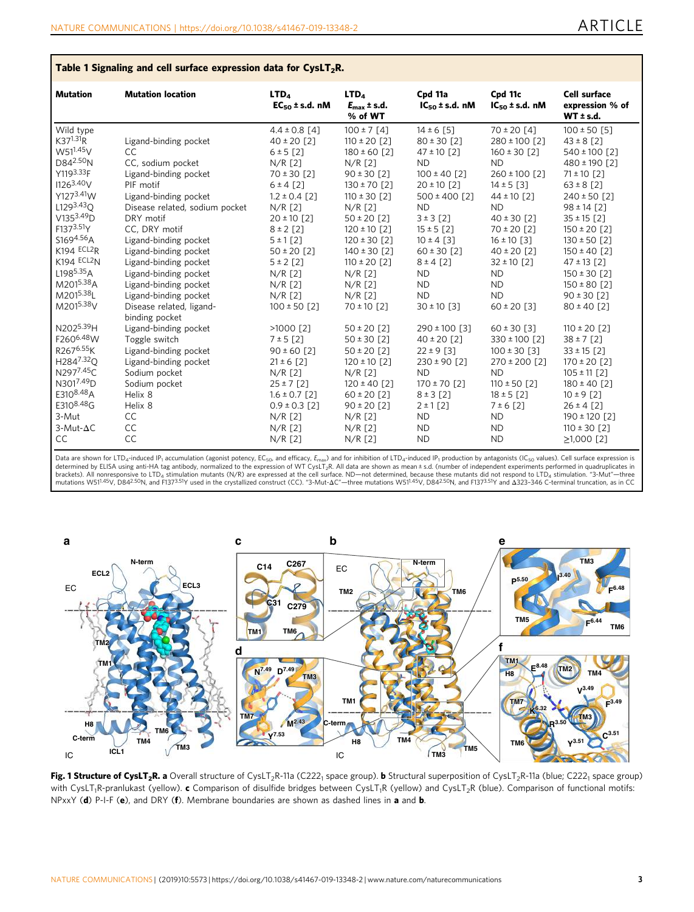## <span id="page-2-0"></span>Table 1 Signaling and cell surface expression data for  $CysLT<sub>2</sub>R$ .

| <b>Mutation</b>                                                                          | <b>Mutation location</b>                                                                      | LTD <sub>4</sub><br>$EC_{50}$ ± s.d. nM                            | LTD <sub>A</sub><br>$E_{\rm max}$ ± s.d.<br>% of WT                    | Cpd 11a<br>$IC_{50}$ ± s.d. nM                                        | Cpd 11c<br>$IC_{50}$ ± s.d. nM                                    | <b>Cell surface</b><br>expression % of<br>WT ± s.d.                      |
|------------------------------------------------------------------------------------------|-----------------------------------------------------------------------------------------------|--------------------------------------------------------------------|------------------------------------------------------------------------|-----------------------------------------------------------------------|-------------------------------------------------------------------|--------------------------------------------------------------------------|
| Wild type<br>$K37^{1.31}R$<br>W51 <sup>1.45</sup> V<br>D842.50 <sub>N</sub><br>Y1193.33F | Ligand-binding pocket<br><b>CC</b><br>CC, sodium pocket                                       | $4.4 \pm 0.8$ [4]<br>$40 \pm 20$ [2]<br>6 ± 5 [2]<br>$N/R$ $[2]$   | $100 \pm 7$ [4]<br>$110 \pm 20$ [2]<br>$180 \pm 60$ [2]<br>$N/R$ $[2]$ | $14 \pm 6$ [5]<br>$80 \pm 30$ [2]<br>$47 \pm 10$ [2]<br><b>ND</b>     | $70 \pm 20$ [4]<br>280 ± 100 [2]<br>$160 \pm 30$ [2]<br><b>ND</b> | $100 \pm 50$ [5]<br>$43 \pm 8$ [2]<br>540 ± 100 [2]<br>480 ± 190 [2]     |
| 11263.40V<br>Y1273.41W<br>L1293.43 <sub>O</sub>                                          | Ligand-binding pocket<br>PIF motif<br>Ligand-binding pocket<br>Disease related, sodium pocket | $70 \pm 30$ [2]<br>$6 \pm 4$ [2]<br>$1.2 \pm 0.4$ [2]<br>$N/R$ [2] | $90 \pm 30$ [2]<br>$130 \pm 70$ [2]<br>$110 \pm 30$ [2]<br>$N/R$ $[2]$ | $100 \pm 40$ [2]<br>$20 \pm 10$ [2]<br>$500 \pm 400$ [2]<br><b>ND</b> | 260 ± 100 [2]<br>$14 \pm 5$ [3]<br>$44 \pm 10$ [2]<br><b>ND</b>   | $71 \pm 10$ [2]<br>$63 \pm 8$ [2]<br>$240 \pm 50$ [2]<br>$98 \pm 14$ [2] |
| $V135^{3.49}D$                                                                           | DRY motif                                                                                     | $20 \pm 10$ [2]                                                    | $50 \pm 20$ [2]                                                        | 3 ± 3 [2]                                                             | $40 \pm 30$ [2]                                                   | $35 \pm 15$ [2]                                                          |
| F1373.51Y                                                                                | CC, DRY motif                                                                                 | $8 \pm 2$ [2]                                                      | $120 \pm 10$ [2]                                                       | $15 \pm 5$ [2]                                                        | $70 \pm 20$ [2]                                                   | $150 \pm 20$ [2]                                                         |
| S1694.56A                                                                                | Ligand-binding pocket                                                                         | 5 ± 1 [2]                                                          | $120 \pm 30$ [2]                                                       | $10 \pm 4$ [3]                                                        | $16 \pm 10$ [3]                                                   | $130 \pm 50$ [2]                                                         |
| K194 ECL2R                                                                               | Ligand-binding pocket                                                                         | $50 \pm 20$ [2]                                                    | $140 \pm 30$ [2]                                                       | $60 \pm 30$ [2]                                                       | $40 \pm 20$ [2]                                                   | $150 \pm 40$ [2]                                                         |
| K194 ECL2N                                                                               | Ligand-binding pocket                                                                         | $5 \pm 2$ [2]                                                      | $110 \pm 20$ [2]                                                       | $8 \pm 4$ [2]                                                         | $32 \pm 10$ [2]                                                   | $47 \pm 13$ [2]                                                          |
| L198 <sup>5.35</sup> A                                                                   | Ligand-binding pocket                                                                         | $N/R$ [2]                                                          | $N/R$ [2]                                                              | ND.                                                                   | <b>ND</b>                                                         | $150 \pm 30$ [2]                                                         |
| M2015.38A                                                                                | Ligand-binding pocket                                                                         | $N/R$ [2]                                                          | $N/R$ [2]                                                              | ND.                                                                   | <b>ND</b>                                                         | $150 \pm 80$ [2]                                                         |
| M2015.38L<br>M2015.38V                                                                   | Ligand-binding pocket<br>Disease related, ligand-<br>binding pocket                           | $N/R$ [2]<br>$100 \pm 50$ [2]                                      | $N/R$ $[2]$<br>$70 \pm 10$ [2]                                         | ND.<br>$30 \pm 10$ [3]                                                | <b>ND</b><br>$60 \pm 20$ [3]                                      | $90 \pm 30$ [2]<br>$80 \pm 40$ [2]                                       |
| N2025.39H                                                                                | Ligand-binding pocket                                                                         | $>1000$ [2]                                                        | $50 \pm 20$ [2]                                                        | 290 ± 100 [3]                                                         | $60 \pm 30$ [3]                                                   | $110 \pm 20$ [2]                                                         |
| F260 <sup>6.48</sup> W                                                                   | Toggle switch                                                                                 | $7 ± 5$ [2]                                                        | $50 \pm 30$ [2]                                                        | $40 \pm 20$ [2]                                                       | 330 ± 100 [2]                                                     | $38 \pm 7$ [2]                                                           |
| R267 <sup>6.55</sup> K                                                                   | Ligand-binding pocket                                                                         | $90 \pm 60$ [2]                                                    | $50 \pm 20$ [2]                                                        | $22 \pm 9$ [3]                                                        | $100 \pm 30$ [3]                                                  | $33 \pm 15$ [2]                                                          |
| H284 <sup>7.32</sup> O                                                                   | Ligand-binding pocket                                                                         | $21 \pm 6$ [2]                                                     | $120 \pm 10$ [2]                                                       | $230 \pm 90$ [2]                                                      | $270 \pm 200$ [2]                                                 | $170 \pm 20$ [2]                                                         |
| N2977.45C                                                                                | Sodium pocket                                                                                 | $N/R$ [2]                                                          | $N/R$ [2]                                                              | <b>ND</b>                                                             | <b>ND</b>                                                         | $105 \pm 11$ [2]                                                         |
| N3017.49D                                                                                | Sodium pocket                                                                                 | $25 \pm 7$ [2]                                                     | $120 \pm 40$ [2]                                                       | $170 \pm 70$ [2]                                                      | $110 \pm 50$ [2]                                                  | $180 \pm 40$ [2]                                                         |
| E3108.48A                                                                                | Helix 8                                                                                       | $1.6 \pm 0.7$ [2]                                                  | $60 \pm 20$ [2]                                                        | $8 \pm 3$ [2]                                                         | $18 \pm 5$ [2]                                                    | $10 \pm 9$ [2]                                                           |
| E3108.48G                                                                                | Helix 8                                                                                       | $0.9 \pm 0.3$ [2]                                                  | $90 \pm 20$ [2]                                                        | $2 \pm 1$ [2]                                                         | 7 ± 6 [2]                                                         | $26 \pm 4$ [2]                                                           |
| 3-Mut                                                                                    | CC                                                                                            | $N/R$ [2]                                                          | $N/R$ [2]                                                              | <b>ND</b>                                                             | <b>ND</b>                                                         | $190 \pm 120$ [2]                                                        |
| $3-Mut-\Delta C$                                                                         | CC                                                                                            | $N/R$ [2]                                                          | $N/R$ [2]                                                              | ND.                                                                   | <b>ND</b>                                                         | 110 ± 30 [2]                                                             |
| CC                                                                                       | CC                                                                                            | $N/R$ [2]                                                          | $N/R$ [2]                                                              | ND.                                                                   | <b>ND</b>                                                         | $\geq$ 1,000 [2]                                                         |

Data are shown for LTD<sub>4</sub>-induced IP<sub>1</sub> accumulation (agonist potency, EC<sub>50</sub>, and efficacy, E<sub>max</sub>) and for inhibition of LTD<sub>4</sub>-induced IP<sub>1</sub> production by antagonists (IC<sub>50</sub> values). Cell surface expression is determined by ELISA using anti-HA tag antibody, normalized to the expression of WT CysLT<sub>2</sub>R. All data are shown as mean±s.d. (number of independent experiments performed in quadruplicates in<br>brackets). All nonresponsive



Fig. 1 Structure of CysLT<sub>2</sub>R. a Overall structure of CysLT<sub>2</sub>R-11a (C222<sub>1</sub> space group). b Structural superposition of CysLT<sub>2</sub>R-11a (blue; C222<sub>1</sub> space group) with CysLT<sub>1</sub>R-pranlukast (yellow). c Comparison of disulfide bridges between CysLT<sub>1</sub>R (yellow) and CysLT<sub>2</sub>R (blue). Comparison of functional motifs: NPxxY (d) P-I-F (e), and DRY (f). Membrane boundaries are shown as dashed lines in a and b.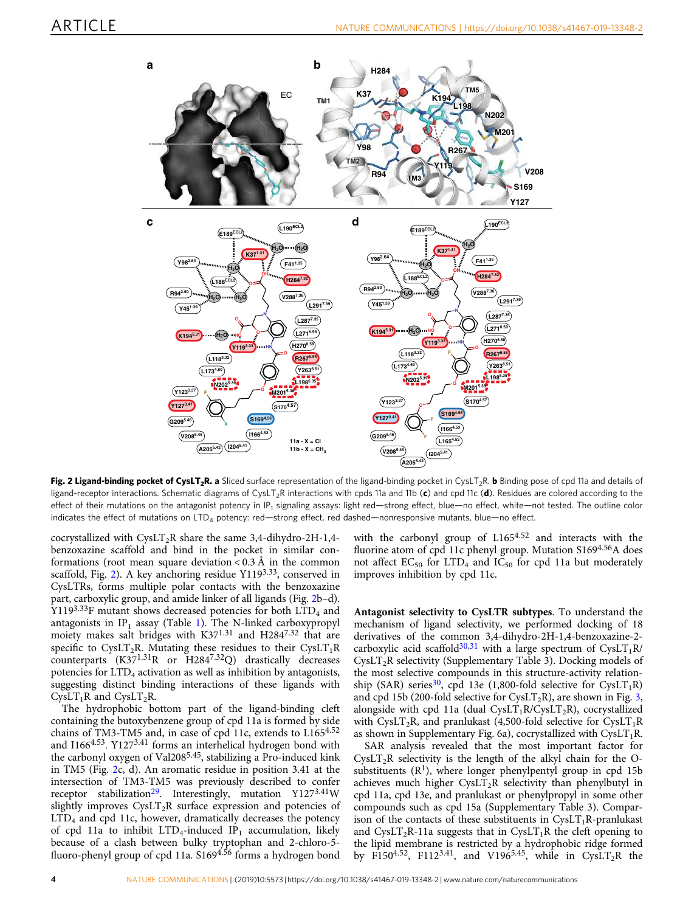<span id="page-3-0"></span>

Fig. 2 Ligand-binding pocket of CysLT<sub>2</sub>R. a Sliced surface representation of the ligand-binding pocket in CysLT<sub>2</sub>R. b Binding pose of cpd 11a and details of ligand-receptor interactions. Schematic diagrams of CysLT<sub>2</sub>R interactions with cpds 11a and 11b (c) and cpd 11c (d). Residues are colored according to the effect of their mutations on the antagonist potency in IP<sub>1</sub> signaling assays: light red—strong effect, blue—no effect, white—not tested. The outline color indicates the effect of mutations on LTD<sub>4</sub> potency: red—strong effect, red dashed—nonresponsive mutants, blue—no effect.

cocrystallized with  $CysLT<sub>2</sub>R$  share the same 3,4-dihydro-2H-1,4benzoxazine scaffold and bind in the pocket in similar conformations (root mean square deviation  $< 0.3 \text{ Å}$  in the common scaffold, Fig. 2). A key anchoring residue Y1193.33, conserved in CysLTRs, forms multiple polar contacts with the benzoxazine part, carboxylic group, and amide linker of all ligands (Fig. 2b–d). Y1193.33F mutant shows decreased potencies for both  $\text{LTD}_4$  and antagonists in  $IP_1$  $IP_1$  assay (Table 1). The N-linked carboxypropyl moiety makes salt bridges with K37<sup>1.31</sup> and H284<sup>7.32</sup> that are specific to CysLT<sub>2</sub>R. Mutating these residues to their CysLT<sub>1</sub>R counterparts (K371.31R or H2847.32Q) drastically decreases potencies for LTD<sub>4</sub> activation as well as inhibition by antagonists, suggesting distinct binding interactions of these ligands with  $CysLT<sub>1</sub>R$  and  $CysLT<sub>2</sub>R$ .

The hydrophobic bottom part of the ligand-binding cleft containing the butoxybenzene group of cpd 11a is formed by side chains of TM3-TM5 and, in case of cpd 11c, extends to L1654.52 and I1664.53. Y1273.41 forms an interhelical hydrogen bond with the carbonyl oxygen of Val2085.45, stabilizing a Pro-induced kink in TM5 (Fig. 2c, d). An aromatic residue in position 3.41 at the intersection of TM3-TM5 was previously described to confer receptor stabilization<sup>29</sup>. Interestingly, mutation Y127<sup>3.41</sup>W slightly improves CysLT<sub>2</sub>R surface expression and potencies of LTD4 and cpd 11c, however, dramatically decreases the potency of cpd 11a to inhibit  $LTD_4$ -induced  $IP_1$  accumulation, likely because of a clash between bulky tryptophan and 2-chloro-5 fluoro-phenyl group of cpd 11a. S169<sup>4.56</sup> forms a hydrogen bond with the carbonyl group of L1654.52 and interacts with the fluorine atom of cpd 11c phenyl group. Mutation S1694.56A does not affect  $EC_{50}$  for  $LTD_4$  and  $IC_{50}$  for cpd 11a but moderately improves inhibition by cpd 11c.

Antagonist selectivity to CysLTR subtypes. To understand the mechanism of ligand selectivity, we performed docking of 18 derivatives of the common 3,4-dihydro-2H-1,4-benzoxazine-2- carboxylic acid scaffold<sup>30[,31](#page-8-0)</sup> with a large spectrum of CysLT<sub>1</sub>R/  $CysLT<sub>2</sub>R$  selectivity (Supplementary Table 3). Docking models of the most selective compounds in this structure-activity relation-ship (SAR) series<sup>[30](#page-7-0)</sup>, cpd 13e (1,800-fold selective for CysLT<sub>1</sub>R) and cpd 15b (200-fold selective for CysLT<sub>2</sub>R), are shown in Fig. [3,](#page-4-0) alongside with cpd 11a (dual CysLT<sub>1</sub>R/CysLT<sub>2</sub>R), cocrystallized with CysLT<sub>2</sub>R, and pranlukast (4,500-fold selective for CysLT<sub>1</sub>R as shown in Supplementary Fig. 6a), cocrystallized with  $CysLT_1R$ .

SAR analysis revealed that the most important factor for  $CysLT<sub>2</sub>R$  selectivity is the length of the alkyl chain for the Osubstituents  $(R<sup>1</sup>)$ , where longer phenylpentyl group in cpd 15b achieves much higher  $CysLT<sub>2</sub>R$  selectivity than phenylbutyl in cpd 11a, cpd 13e, and pranlukast or phenylpropyl in some other compounds such as cpd 15a (Supplementary Table 3). Comparison of the contacts of these substituents in  $CysLT_1R$ -pranlukast and CysLT<sub>2</sub>R-11a suggests that in CysLT<sub>1</sub>R the cleft opening to the lipid membrane is restricted by a hydrophobic ridge formed by F150<sup>4.52</sup>, F112<sup>3.41</sup>, and V196<sup>5.45</sup>, while in CysLT<sub>2</sub>R the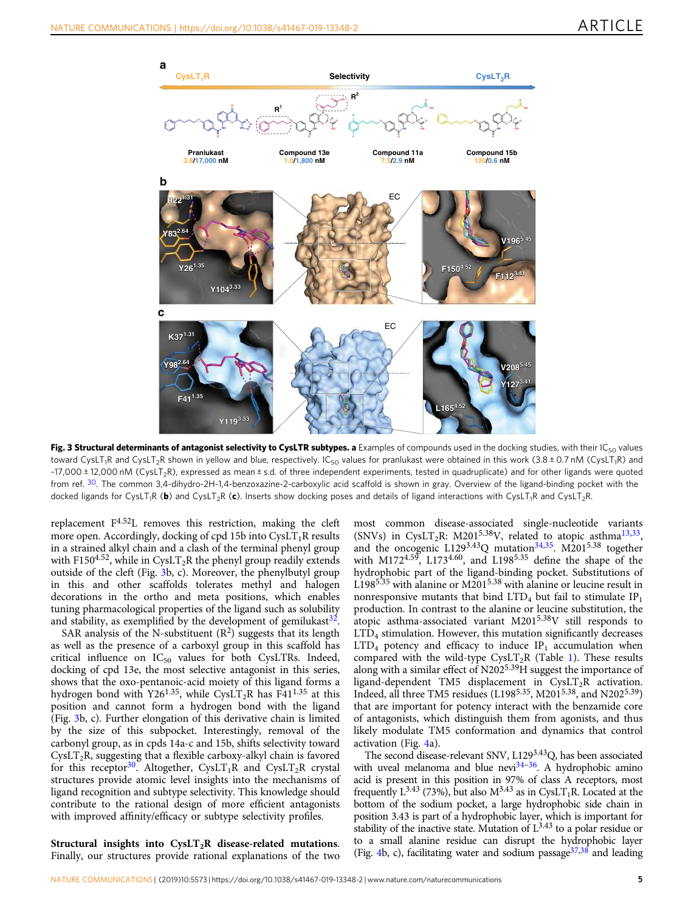<span id="page-4-0"></span>

Fig. 3 Structural determinants of antagonist selectivity to CysLTR subtypes. a Examples of compounds used in the docking studies, with their IC<sub>50</sub> values toward CysLT<sub>1</sub>R and CysLT<sub>2</sub>R shown in yellow and blue, respectively. IC<sub>50</sub> values for pranlukast were obtained in this work (3.8 ± 0.7 nM (CysLT<sub>1</sub>R) and ~17,000 ± 12,000 nM (CysLT<sub>2</sub>R), expressed as mean ± s.d. of three independent experiments, tested in quadruplicate) and for other ligands were quoted from ref. [30](#page-7-0). The common 3,4-dihydro-2H-1,4-benzoxazine-2-carboxylic acid scaffold is shown in gray. Overview of the ligand-binding pocket with the docked ligands for CysLT<sub>1</sub>R (b) and CysLT<sub>2</sub>R (c). Inserts show docking poses and details of ligand interactions with CysLT<sub>1</sub>R and CysLT<sub>2</sub>R.

replacement F4.52L removes this restriction, making the cleft more open. Accordingly, docking of cpd 15b into  $CysLT_1R$  results in a strained alkyl chain and a clash of the terminal phenyl group with F150<sup>4.52</sup>, while in CysLT<sub>2</sub>R the phenyl group readily extends outside of the cleft (Fig. 3b, c). Moreover, the phenylbutyl group in this and other scaffolds tolerates methyl and halogen decorations in the ortho and meta positions, which enables tuning pharmacological properties of the ligand such as solubility and stability, as exemplified by the development of gemilukast  $3^2$ .

SAR analysis of the N-substituent  $(R^2)$  suggests that its length as well as the presence of a carboxyl group in this scaffold has critical influence on  $IC_{50}$  values for both CysLTRs. Indeed, docking of cpd 13e, the most selective antagonist in this series, shows that the oxo-pentanoic-acid moiety of this ligand forms a hydrogen bond with Y26<sup>1.35</sup>, while CysLT<sub>2</sub>R has F41<sup>1.35</sup> at this position and cannot form a hydrogen bond with the ligand (Fig. 3b, c). Further elongation of this derivative chain is limited by the size of this subpocket. Interestingly, removal of the carbonyl group, as in cpds 14a-c and 15b, shifts selectivity toward  $CysLT<sub>2</sub>R$ , suggesting that a flexible carboxy-alkyl chain is favored for this receptor<sup>30</sup>. Altogether, CysLT<sub>1</sub>R and CysLT<sub>2</sub>R crystal structures provide atomic level insights into the mechanisms of ligand recognition and subtype selectivity. This knowledge should contribute to the rational design of more efficient antagonists with improved affinity/efficacy or subtype selectivity profiles.

most common disease-associated single-nucleotide variants (SNVs) in CysLT<sub>2</sub>R: M201<sup>5.38</sup>V, related to atopic asthma<sup>13,33</sup>, and the oncogenic L129<sup>3.43</sup>Q mutation<sup>[34](#page-8-0),35</sup>. M201<sup>5.38</sup> together with M172 $^{4.59}$ , L173 $^{4.60}$ , and L198 $^{5.35}$  define the shape of the hydrophobic part of the ligand-binding pocket. Substitutions of L1985.35 with alanine or M2015.38 with alanine or leucine result in nonresponsive mutants that bind  $LTD<sub>4</sub>$  but fail to stimulate  $IP<sub>1</sub>$ production. In contrast to the alanine or leucine substitution, the atopic asthma-associated variant M2015.38V still responds to  $LTD<sub>4</sub>$  stimulation. However, this mutation significantly decreases  $LTD<sub>4</sub>$  potency and efficacy to induce  $IP<sub>1</sub>$  accumulation when compared with the wild-type  $CysLT<sub>2</sub>R$  (Table [1\)](#page-2-0). These results along with a similar effect of N2025.39H suggest the importance of ligand-dependent TM5 displacement in  $CysLT<sub>2</sub>R$  activation. Indeed, all three TM5 residues (L1985.35, M2015.38, and N2025.39) that are important for potency interact with the benzamide core of antagonists, which distinguish them from agonists, and thus likely modulate TM5 conformation and dynamics that control activation (Fig. [4a](#page-5-0)).

The second disease-relevant SNV, L1293.43Q, has been associated with uveal melanoma and blue nevi $34-36$  $34-36$ . A hydrophobic amino acid is present in this position in 97% of class A receptors, most frequently L<sup>3.43</sup> (73%), but also  $M^{3.43}$  as in CysLT<sub>1</sub>R. Located at the bottom of the sodium pocket, a large hydrophobic side chain in position 3.43 is part of a hydrophobic layer, which is important for stability of the inactive state. Mutation of  $L^{3.43}$  to a polar residue or to a small alanine residue can disrupt the hydrophobic layer (Fig. [4b](#page-5-0), c), facilitating water and sodium passage  $37,38$  $37,38$  and leading

Structural insights into  $CysLT<sub>2</sub>R$  disease-related mutations. Finally, our structures provide rational explanations of the two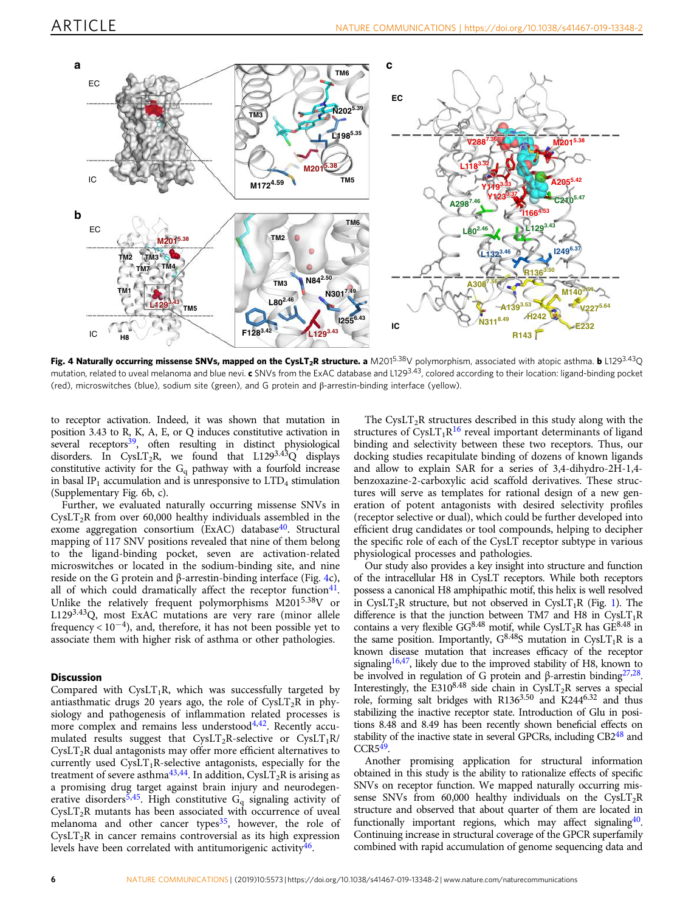<span id="page-5-0"></span>

Fig. 4 Naturally occurring missense SNVs, mapped on the CysLT<sub>2</sub>R structure. a M201<sup>5.38</sup>V polymorphism, associated with atopic asthma. b L129<sup>3.43</sup>Q mutation, related to uveal melanoma and blue nevi. c SNVs from the ExAC database and L129<sup>3.43</sup>, colored according to their location: ligand-binding pocket (red), microswitches (blue), sodium site (green), and G protein and β-arrestin-binding interface (yellow).

to receptor activation. Indeed, it was shown that mutation in position 3.43 to R, K, A, E, or Q induces constitutive activation in several receptors<sup>39</sup>, often resulting in distinct physiological disorders. In CysLT<sub>2</sub>R, we found that L129<sup>3.43</sup>Q displays constitutive activity for the  $G_q$  pathway with a fourfold increase in basal IP<sub>1</sub> accumulation and is unresponsive to  $LTD<sub>4</sub>$  stimulation (Supplementary Fig. 6b, c).

Further, we evaluated naturally occurring missense SNVs in CysLT<sub>2</sub>R from over 60,000 healthy individuals assembled in the exome aggregation consortium (ExAC) database<sup>40</sup>. Structural mapping of 117 SNV positions revealed that nine of them belong to the ligand-binding pocket, seven are activation-related microswitches or located in the sodium-binding site, and nine reside on the G protein and β-arrestin-binding interface (Fig. 4c), all of which could dramatically affect the receptor function $41$ . Unlike the relatively frequent polymorphisms M2015.38V or L1293.43Q, most ExAC mutations are very rare (minor allele frequency <  $10^{-4}$ ), and, therefore, it has not been possible yet to associate them with higher risk of asthma or other pathologies.

#### **Discussion**

Compared with  $CysLT_1R$ , which was successfully targeted by antiasthmatic drugs 20 years ago, the role of  $CysLT<sub>2</sub>R$  in physiology and pathogenesis of inflammation related processes is more complex and remains less understood $4,42$  $4,42$ . Recently accumulated results suggest that  $CysLT_2R$ -selective or  $CysLT_1R/$  $CysLT<sub>2</sub>R$  dual antagonists may offer more efficient alternatives to currently used  $CvsLT_1R$ -selective antagonists, especially for the treatment of severe asthma<sup>[43](#page-8-0),[44](#page-8-0)</sup>. In addition, CysLT<sub>2</sub>R is arising as a promising drug target against brain injury and neurodegenerative disorders<sup>5,45</sup>. High constitutive  $G_q$  signaling activity of  $CysLT<sub>2</sub>R$  mutants has been associated with occurrence of uveal melanoma and other cancer types $35$ , however, the role of  $CysLT<sub>2</sub>R$  in cancer remains controversial as its high expression levels have been correlated with antitumorigenic activity $46$ .

The CysLT<sub>2</sub>R structures described in this study along with the structures of  $CysLT_1R^{16}$  $CysLT_1R^{16}$  $CysLT_1R^{16}$  reveal important determinants of ligand binding and selectivity between these two receptors. Thus, our docking studies recapitulate binding of dozens of known ligands and allow to explain SAR for a series of 3,4-dihydro-2H-1,4 benzoxazine-2-carboxylic acid scaffold derivatives. These structures will serve as templates for rational design of a new generation of potent antagonists with desired selectivity profiles (receptor selective or dual), which could be further developed into efficient drug candidates or tool compounds, helping to decipher the specific role of each of the CysLT receptor subtype in various physiological processes and pathologies.

Our study also provides a key insight into structure and function of the intracellular H8 in CysLT receptors. While both receptors possess a canonical H8 amphipathic motif, this helix is well resolved in CysLT<sub>2</sub>R structure, but not observed in CysLT<sub>1</sub>R (Fig. [1\)](#page-2-0). The difference is that the junction between TM7 and H8 in  $CysLT_1R$ contains a very flexible GG<sup>8.48</sup> motif, while CysLT<sub>2</sub>R has GE<sup>8.48</sup> in the same position. Importantly,  $G^{8.48}S$  mutation in CysLT<sub>1</sub>R is a known disease mutation that increases efficacy of the receptor signaling<sup>16[,47](#page-8-0)</sup>, likely due to the improved stability of H8, known to be involved in regulation of G protein and β-arrestin binding<sup>27,28</sup>. Interestingly, the E3108.48 side chain in CysLT<sub>2</sub>R serves a special role, forming salt bridges with R1363.50 and K2446.32 and thus stabilizing the inactive receptor state. Introduction of Glu in positions 8.48 and 8.49 has been recently shown beneficial effects on stability of the inactive state in several GPCRs, including  $CB2<sup>48</sup>$  and  $CCR<sub>5</sub><sup>49</sup>$ .

Another promising application for structural information obtained in this study is the ability to rationalize effects of specific SNVs on receptor function. We mapped naturally occurring missense SNVs from 60,000 healthy individuals on the CysLT<sub>2</sub>R structure and observed that about quarter of them are located in functionally important regions, which may affect signaling<sup>40</sup>. Continuing increase in structural coverage of the GPCR superfamily combined with rapid accumulation of genome sequencing data and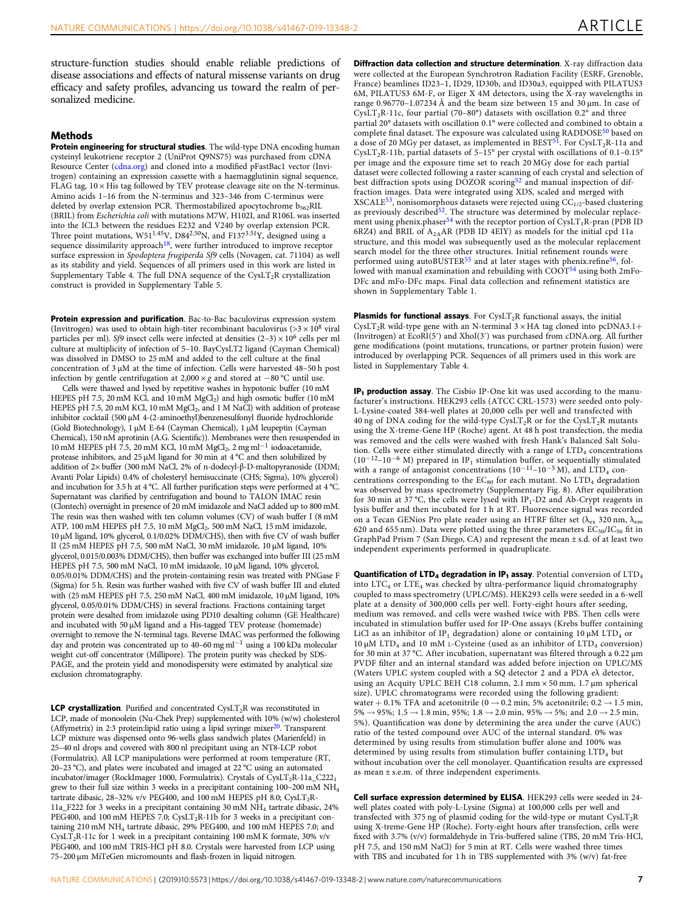structure-function studies should enable reliable predictions of disease associations and effects of natural missense variants on drug efficacy and safety profiles, advancing us toward the realm of personalized medicine.

#### Methods

Protein engineering for structural studies. The wild-type DNA encoding human cysteinyl leukotriene receptor 2 (UniProt Q9NS75) was purchased from cDNA Resource Center [\(cdna.org](http://cdna.org)) and cloned into a modified pFastBac1 vector (Invitrogen) containing an expression cassette with a haemagglutinin signal sequence, FLAG tag,  $10 \times$  His tag followed by TEV protease cleavage site on the N-terminus. Amino acids 1–16 from the N-terminus and 323–346 from C-terminus were deleted by overlap extension PCR. Thermostabilized apocytochrome  $b_{562}RIL$ (BRIL) from Escherichia coli with mutations M7W, H102I, and R106L was inserted into the ICL3 between the residues E232 and V240 by overlap extension PCR.<br>Three point mutations, W51<sup>1.45</sup>V, D84<sup>2.50</sup>N, and F137<sup>3.51</sup>Y, designed using a sequence dissimilarity approach<sup>18</sup>, were further introduced to improve receptor surface expression in Spodoptera frugiperda Sf9 cells (Novagen, cat. 71104) as well as its stability and yield. Sequences of all primers used in this work are listed in Supplementary Table 4. The full DNA sequence of the CysLT<sub>2</sub>R crystallization construct is provided in Supplementary Table 5.

Protein expression and purification. Bac-to-Bac baculovirus expression system (Invitrogen) was used to obtain high-titer recombinant baculovirus ( $>3 \times 10^8$  viral particles per ml). Sf9 insect cells were infected at densities  $(2-3) \times 10^6$  cells per ml culture at multiplicity of infection of 5–10. BayCysLT2 ligand (Cayman Chemical) was dissolved in DMSO to 25 mM and added to the cell culture at the final concentration of 3 µM at the time of infection. Cells were harvested 48–50 h post infection by gentle centrifugation at 2,000 × g and stored at  $-80$  °C until use.

Cells were thawed and lysed by repetitive washes in hypotonic buffer (10 mM HEPES pH 7.5, 20 mM KCl, and  $10$  mM MgCl<sub>2</sub>) and high osmotic buffer (10 mM HEPES pH 7.5, 20 mM KCl, 10 mM MgCl<sub>2</sub>, and 1 M NaCl) with addition of protease inhibitor cocktail (500 µM 4-(2-aminoethyl)benzenesulfonyl fluoride hydrochloride (Gold Biotechnology), 1 µM E-64 (Cayman Chemical), 1 µM leupeptin (Cayman Chemical), 150 nM aprotinin (A.G. Scientific)). Membranes were then resuspended in 10 mM HEPES pH 7.5, 20 mM KCl, 10 mM MgCl<sub>2</sub>, 2 mg ml<sup>-1</sup> iodoacetamide, protease inhibitors, and 25 µM ligand for 30 min at 4 °C and then solubilized by addition of 2× buffer (300 mM NaCl, 2% of n-dodecyl-β-D-maltopyranoside (DDM; Avanti Polar Lipids) 0.4% of cholesteryl hemisuccinate (CHS; Sigma), 10% glycerol) and incubation for 3.5 h at 4 °C. All further purification steps were performed at 4 °C. Supernatant was clarified by centrifugation and bound to TALON IMAC resin (Clontech) overnight in presence of 20 mM imidazole and NaCl added up to 800 mM. The resin was then washed with ten column volumes (CV) of wash buffer I (8 mM ATP, 100 mM HEPES pH 7.5, 10 mM MgCl<sub>2</sub>, 500 mM NaCl, 15 mM imidazole, 10 μM ligand, 10% glycerol, 0.1/0.02% DDM/CHS), then with five CV of wash buffer II (25 mM HEPES pH 7.5, 500 mM NaCl, 30 mM imidazole, 10 μM ligand, 10% glycerol, 0.015/0.003% DDM/CHS), then buffer was exchanged into buffer III (25 mM HEPES pH 7.5, 500 mM NaCl, 10 mM imidazole, 10 μM ligand, 10% glycerol, 0.05/0.01% DDM/CHS) and the protein-containing resin was treated with PNGase F (Sigma) for 5 h. Resin was further washed with five CV of wash buffer III and eluted with (25 mM HEPES pH 7.5, 250 mM NaCl, 400 mM imidazole, 10 μM ligand, 10% glycerol, 0.05/0.01% DDM/CHS) in several fractions. Fractions containing target protein were desalted from imidazole using PD10 desalting column (GE Healthcare) and incubated with 50 µM ligand and a His-tagged TEV protease (homemade) overnight to remove the N-terminal tags. Reverse IMAC was performed the following day and protein was concentrated up to 40–60 mg ml−<sup>1</sup> using a 100 kDa molecular weight cut-off concentrator (Millipore). The protein purity was checked by SDS-PAGE, and the protein yield and monodispersity were estimated by analytical size exclusion chromatography.

**LCP crystallization**. Purified and concentrated  $CysLT_2R$  was reconstituted in LCP, made of monoolein (Nu-Chek Prep) supplemented with 10% (w/w) cholesterol (Affymetrix) in 2:3 protein:lipid ratio using a lipid syringe mixer $^{20}$  $^{20}$  $^{20}$ . Transparent LCP mixture was dispensed onto 96-wells glass sandwich plates (Marienfeld) in 25–40 nl drops and covered with 800 nl precipitant using an NT8-LCP robot (Formulatrix). All LCP manipulations were performed at room temperature (RT, 20–23 °C), and plates were incubated and imaged at 22 °C using an automated incubator/imager (RockImager 1000, Formulatrix). Crystals of CysLT<sub>2</sub>R-11a\_C222 grew to their full size within 3 weeks in a precipitant containing 100–200 mM NH4 tartrate dibasic, 28-32% v/v PEG400, and 100 mM HEPES pH 8.0; CysLT<sub>2</sub>R-11a\_F222 for 3 weeks in a precipitant containing 30 mM NH4 tartrate dibasic, 24% PEG400, and 100 mM HEPES 7.0; CysLT<sub>2</sub>R-11b for 3 weeks in a precipitant containing 210 mM NH4 tartrate dibasic, 29% PEG400, and 100 mM HEPES 7.0; and CysLT<sub>2</sub>R-11c for 1 week in a precipitant containing 100 mM K formate, 30% v/v PEG400, and 100 mM TRIS-HCl pH 8.0. Crystals were harvested from LCP using 75–200 µm MiTeGen micromounts and flash-frozen in liquid nitrogen.

Diffraction data collection and structure determination. X-ray diffraction data were collected at the European Synchrotron Radiation Facility (ESRF, Grenoble, France) beamlines ID23–1, ID29, ID30b, and ID30a3, equipped with PILATUS3 6M, PILATUS3 6M-F, or Eiger X 4M detectors, using the X-ray wavelengths in range  $0.96770 - 1.07234$  Å and the beam size between 15 and  $30 \mu m$ . In case of CysLT<sub>2</sub>R-11c, four partial (70-80°) datasets with oscillation 0.2<sup>°</sup> and three partial 20° datasets with oscillation 0.1° were collected and combined to obtain a complete final dataset. The exposure was calculated using RADDOSE<sup>[50](#page-8-0)</sup> based on a dose of 20 MGy per dataset, as implemented in  $\text{BEST}^{51}$  $\text{BEST}^{51}$  $\text{BEST}^{51}$ . For CysLT<sub>2</sub>R-11a and CysLT<sub>2</sub>R-11b, partial datasets of 5-15° per crystal with oscillations of 0.1-0.15° per image and the exposure time set to reach 20 MGy dose for each partial dataset were collected following a raster scanning of each crystal and selection of best diffraction spots using DOZOR scoring<sup>[52](#page-8-0)</sup> and manual inspection of diffraction images. Data were integrated using XDS, scaled and merged with XSCALE $^{53}$ , nonisomorphous datasets were rejected using CC<sub>1/2</sub>-based clustering as previously described $52$ . The structure was determined by molecular replace-ment using phenix.phaser<sup>[54](#page-8-0)</sup> with the receptor portion of  $CysLT_1R$ -pran (PDB ID 6RZ4) and BRIL of A2AAR (PDB ID 4EIY) as models for the initial cpd 11a structure, and this model was subsequently used as the molecular replacement search model for the three other structures. Initial refinement rounds were performed using autoBUSTER<sup>[55](#page-8-0)</sup> and at later stages with phenix.refine<sup>56</sup>, fol-lowed with manual examination and rebuilding with COOT[54](#page-8-0) using both 2mFo-DFc and mFo-DFc maps. Final data collection and refinement statistics are shown in Supplementary Table 1.

**Plasmids for functional assays**. For  $CysLT<sub>2</sub>R$  functional assays, the initial CysLT<sub>2</sub>R wild-type gene with an N-terminal  $3 \times HA$  tag cloned into pcDNA3.1+ (Invitrogen) at EcoRI(5′) and XhoI(3′) was purchased from cDNA.org. All further gene modifications (point mutations, truncations, or partner protein fusion) were introduced by overlapping PCR. Sequences of all primers used in this work are listed in Supplementary Table 4.

IP<sub>1</sub> production assay. The Cisbio IP-One kit was used according to the manufacturer's instructions. HEK293 cells (ATCC CRL-1573) were seeded onto poly-L-Lysine-coated 384-well plates at 20,000 cells per well and transfected with 40 ng of DNA coding for the wild-type CysLT<sub>2</sub>R or for the CysLT<sub>2</sub>R mutants using the X-treme-Gene HP (Roche) agent. At 48 h post transfection, the media was removed and the cells were washed with fresh Hank's Balanced Salt Solution. Cells were either stimulated directly with a range of  $LTD<sub>4</sub>$  concentrations (10<sup>-12</sup>-10<sup>-6</sup> M) prepared in IP<sub>1</sub> stimulation buffer, or sequentially stimulated with a range of antagonist concentrations  $(10^{-11}-10^{-5} M)$ , and LTD<sub>4</sub> concentrations corresponding to the  $EC_{80}$  for each mutant. No  $LTD_4$  degradation was observed by mass spectrometry (Supplementary Fig. 8). After equilibration for 30 min at 37 °C, the cells were lysed with  $IP_1$ -D2 and Ab-Crypt reagents in lysis buffer and then incubated for 1 h at RT. Fluorescence signal was recorded on a Tecan GENios Pro plate reader using an HTRF filter set  $(\lambda_{\rm ex} 320 \text{ nm}, \lambda_{\rm em}$ 620 and 655 nm). Data were plotted using the three parameters  $EC_{50}/IC_{50}$  fit in GraphPad Prism 7 (San Diego, CA) and represent the mean ± s.d. of at least two independent experiments performed in quadruplicate.

Quantification of LTD<sub>4</sub> degradation in IP<sub>1</sub> assay. Potential conversion of  $LTD_4$ into LTC<sub>4</sub> or LTE<sub>4</sub> was checked by ultra-performance liquid chromatography coupled to mass spectrometry (UPLC/MS). HEK293 cells were seeded in a 6-well plate at a density of 300,000 cells per well. Forty-eight hours after seeding, medium was removed, and cells were washed twice with PBS. Then cells were incubated in stimulation buffer used for IP-One assays (Krebs buffer containing LiCl as an inhibitor of IP<sub>1</sub> degradation) alone or containing 10  $\mu$ M LTD<sub>4</sub> or 10  $\mu$ M LTD<sub>4</sub> and 10 mM L-Cysteine (used as an inhibitor of LTD<sub>4</sub> conversion) for 30 min at 37 °C. After incubation, supernatant was filtered through a 0.22 µm PVDF filter and an internal standard was added before injection on UPLC/MS (Waters UPLC system coupled with a SQ detector 2 and a PDA eλ detector, using an Acquity UPLC BEH C18 column, 2.1 mm × 50 mm, 1.7 μm spherical size). UPLC chromatograms were recorded using the following gradient: water  $+$  0.1% TFA and acetonitrile (0  $\rightarrow$  0.2 min, 5% acetonitrile; 0.2  $\rightarrow$  1.5 min,  $5\% \rightarrow 95\%;1.5 \rightarrow 1.8 \text{ min}, 95\%;1.8 \rightarrow 2.0 \text{ min}, 95\% \rightarrow 5\%; \text{ and } 2.0 \rightarrow 2.5 \text{ min},$ 5%). Quantification was done by determining the area under the curve (AUC) ratio of the tested compound over AUC of the internal standard. 0% was determined by using results from stimulation buffer alone and 100% was determined by using results from stimulation buffer containing LTD<sub>4</sub> but without incubation over the cell monolayer. Quantification results are expressed as mean ± s.e.m. of three independent experiments.

Cell surface expression determined by ELISA. HEK293 cells were seeded in 24 well plates coated with poly-L-Lysine (Sigma) at 100,000 cells per well and transfected with 375 ng of plasmid coding for the wild-type or mutant  $CysLT<sub>2</sub>R$ using X-treme-Gene HP (Roche). Forty-eight hours after transfection, cells were fixed with 3.7% (v/v) formaldehyde in Tris-buffered saline (TBS, 20 mM Tris-HCl, pH 7.5, and 150 mM NaCl) for 5 min at RT. Cells were washed three times with TBS and incubated for 1 h in TBS supplemented with 3% (w/v) fat-free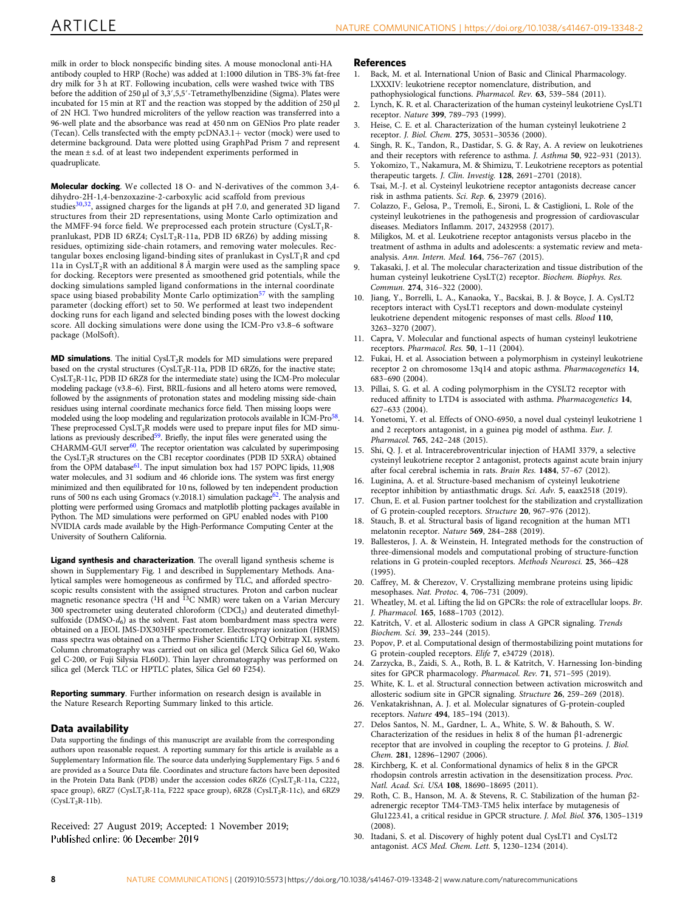<span id="page-7-0"></span>milk in order to block nonspecific binding sites. A mouse monoclonal anti-HA antibody coupled to HRP (Roche) was added at 1:1000 dilution in TBS-3% fat-free dry milk for 3 h at RT. Following incubation, cells were washed twice with TBS before the addition of 250 µl of 3,3',5,5'-Tetramethylbenzidine (Sigma). Plates were incubated for 15 min at  $R\dot{T}$  and the reaction was stopped by the addition of 250  $\mu$ l of 2N HCl. Two hundred microliters of the yellow reaction was transferred into a 96-well plate and the absorbance was read at 450 nm on GENios Pro plate reader (Tecan). Cells transfected with the empty pcDNA3.1+ vector (mock) were used to determine background. Data were plotted using GraphPad Prism 7 and represent the mean ± s.d. of at least two independent experiments performed in quadruplicate.

Molecular docking. We collected 18 O- and N-derivatives of the common 3,4 dihydro-2H-1,4-benzoxazine-2-carboxylic acid scaffold from previous studies<sup>30[,32](#page-8-0)</sup>, assigned charges for the ligands at pH 7.0, and generated 3D ligand structures from their 2D representations, using Monte Carlo optimization and the MMFF-94 force field. We preprocessed each protein structure  $(CysLT_1R$ pranlukast, PDB ID 6RZ4; CysLT<sub>2</sub>R-11a, PDB ID 6RZ6) by adding missing residues, optimizing side-chain rotamers, and removing water molecules. Rectangular boxes enclosing ligand-binding sites of pranlukast in  $\text{CysLT}_1\text{R}$  and  $\text{cpd}$ 11a in CysLT<sub>2</sub>R with an additional 8 Å margin were used as the sampling space for docking. Receptors were presented as smoothened grid potentials, while the docking simulations sampled ligand conformations in the internal coordinate space using biased probability Monte Carlo optimization<sup>[57](#page-8-0)</sup> with the sampling parameter (docking effort) set to 50. We performed at least two independent docking runs for each ligand and selected binding poses with the lowest docking score. All docking simulations were done using the ICM-Pro v3.8–6 software package (MolSoft).

**MD simulations**. The initial  $CysLT<sub>2</sub>R$  models for MD simulations were prepared based on the crystal structures (CysLT<sub>2</sub>R-11a, PDB ID 6RZ6, for the inactive state; CysLT2R-11c, PDB ID 6RZ8 for the intermediate state) using the ICM-Pro molecular modeling package (v3.8–6). First, BRIL-fusions and all hetero atoms were removed, followed by the assignments of protonation states and modeling missing side-chain residues using internal coordinate mechanics force field. Then missing loops were modeled using the loop modeling and regularization protocols available in ICM-Pro<sup>[58](#page-8-0)</sup>. These preprocessed  $CysLT<sub>2</sub>R$  models were used to prepare input files for MD simulations as previously described<sup>59</sup>. Briefly, the input files were generated using the CHARMM-GUI server<sup>60</sup>. The receptor orientation was calculated by superimposing the CysLT2R structures on the CB1 receptor coordinates (PDB ID 5XRA) obtained from the OPM database<sup>[61](#page-8-0)</sup>. The input simulation box had 157 POPC lipids, 11,908 water molecules, and 31 sodium and 46 chloride ions. The system was first energy minimized and then equilibrated for 10 ns, followed by ten independent production runs of 500 ns each using Gromacs (v.2018.1) simulation package[62](#page-8-0). The analysis and plotting were performed using Gromacs and matplotlib plotting packages available in Python. The MD simulations were performed on GPU enabled nodes with P100 NVIDIA cards made available by the High-Performance Computing Center at the University of Southern California.

Ligand synthesis and characterization. The overall ligand synthesis scheme is shown in Supplementary Fig. 1 and described in Supplementary Methods. Analytical samples were homogeneous as confirmed by TLC, and afforded spectroscopic results consistent with the assigned structures. Proton and carbon nuclear<br>magnetic resonance spectra (<sup>1</sup>H and <sup>13</sup>C NMR) were taken on a Varian Mercury 300 spectrometer using deuterated chloroform (CDCl<sub>3</sub>) and deuterated dimethylsulfoxide (DMSO- $d_6$ ) as the solvent. Fast atom bombardment mass spectra were obtained on a JEOL JMS-DX303HF spectrometer. Electrospray ionization (HRMS) mass spectra was obtained on a Thermo Fisher Scientific LTQ Orbitrap XL system. Column chromatography was carried out on silica gel (Merck Silica Gel 60, Wako gel C-200, or Fuji Silysia FL60D). Thin layer chromatography was performed on silica gel (Merck TLC or HPTLC plates, Silica Gel 60 F254).

Reporting summary. Further information on research design is available in the Nature Research Reporting Summary linked to this article.

#### Data availability

Data supporting the findings of this manuscript are available from the corresponding authors upon reasonable request. A reporting summary for this article is available as a Supplementary Information file. The source data underlying Supplementary Figs. 5 and 6 are provided as a Source Data file. Coordinates and structure factors have been deposited in the Protein Data Bank (PDB) under the accession codes  $6RZ6$  (CysLT<sub>2</sub>R-11a, C222<sub>1</sub> space group),  $6RZ7$  (CysLT<sub>2</sub>R-11a, F222 space group),  $6RZ8$  (CysLT<sub>2</sub>R-11c), and  $6RZ9$  $(CysLT<sub>2</sub>R-11b)$ .

Received: 27 August 2019; Accepted: 1 November 2019; Published online: 06 December 2019

#### References

- 1. Back, M. et al. International Union of Basic and Clinical Pharmacology. LXXXIV: leukotriene receptor nomenclature, distribution, and pathophysiological functions. Pharmacol. Rev. 63, 539–584 (2011).
- 2. Lynch, K. R. et al. Characterization of the human cysteinyl leukotriene CysLT1 receptor. Nature 399, 789–793 (1999).
- 3. Heise, C. E. et al. Characterization of the human cysteinyl leukotriene 2 receptor. J. Biol. Chem. 275, 30531–30536 (2000).
- 4. Singh, R. K., Tandon, R., Dastidar, S. G. & Ray, A. A review on leukotrienes and their receptors with reference to asthma. J. Asthma 50, 922–931 (2013).
- 5. Yokomizo, T., Nakamura, M. & Shimizu, T. Leukotriene receptors as potential therapeutic targets. J. Clin. Investig. 128, 2691–2701 (2018).
- 6. Tsai, M.-J. et al. Cysteinyl leukotriene receptor antagonists decrease cancer risk in asthma patients. Sci. Rep. 6, 23979 (2016).
- 7. Colazzo, F., Gelosa, P., Tremoli, E., Sironi, L. & Castiglioni, L. Role of the cysteinyl leukotrienes in the pathogenesis and progression of cardiovascular diseases. Mediators Inflamm. 2017, 2432958 (2017).
- 8. Miligkos, M. et al. Leukotriene receptor antagonists versus placebo in the treatment of asthma in adults and adolescents: a systematic review and metaanalysis. Ann. Intern. Med. 164, 756–767 (2015).
- Takasaki, J. et al. The molecular characterization and tissue distribution of the human cysteinyl leukotriene CysLT(2) receptor. Biochem. Biophys. Res. Commun. 274, 316–322 (2000).
- Jiang, Y., Borrelli, L. A., Kanaoka, Y., Bacskai, B. J. & Boyce, J. A. CysLT2 receptors interact with CysLT1 receptors and down-modulate cysteinyl leukotriene dependent mitogenic responses of mast cells. Blood 110, 3263–3270 (2007).
- 11. Capra, V. Molecular and functional aspects of human cysteinyl leukotriene receptors. Pharmacol. Res. 50, 1–11 (2004).
- 12. Fukai, H. et al. Association between a polymorphism in cysteinyl leukotriene receptor 2 on chromosome 13q14 and atopic asthma. Pharmacogenetics 14, 683–690 (2004).
- 13. Pillai, S. G. et al. A coding polymorphism in the CYSLT2 receptor with reduced affinity to LTD4 is associated with asthma. Pharmacogenetics 14, 627–633 (2004).
- 14. Yonetomi, Y. et al. Effects of ONO-6950, a novel dual cysteinyl leukotriene 1 and 2 receptors antagonist, in a guinea pig model of asthma. Eur. J. Pharmacol. 765, 242–248 (2015).
- 15. Shi, Q. J. et al. Intracerebroventricular injection of HAMI 3379, a selective cysteinyl leukotriene receptor 2 antagonist, protects against acute brain injury after focal cerebral ischemia in rats. Brain Res. 1484, 57–67 (2012).
- 16. Luginina, A. et al. Structure-based mechanism of cysteinyl leukotriene receptor inhibition by antiasthmatic drugs. Sci. Adv. 5, eaax2518 (2019).
- 17. Chun, E. et al. Fusion partner toolchest for the stabilization and crystallization of G protein-coupled receptors. Structure 20, 967–976 (2012).
- 18. Stauch, B. et al. Structural basis of ligand recognition at the human MT1 melatonin receptor. Nature 569, 284–288 (2019).
- 19. Ballesteros, J. A. & Weinstein, H. Integrated methods for the construction of three-dimensional models and computational probing of structure-function relations in G protein-coupled receptors. Methods Neurosci. 25, 366–428  $(1995)$
- 20. Caffrey, M. & Cherezov, V. Crystallizing membrane proteins using lipidic mesophases. Nat. Protoc. 4, 706–731 (2009).
- 21. Wheatley, M. et al. Lifting the lid on GPCRs: the role of extracellular loops. Br. J. Pharmacol. 165, 1688–1703 (2012).
- 22. Katritch, V. et al. Allosteric sodium in class A GPCR signaling. Trends Biochem. Sci. 39, 233–244 (2015).
- 23. Popov, P. et al. Computational design of thermostabilizing point mutations for G protein-coupled receptors. Elife 7, e34729 (2018).
- 24. Zarzycka, B., Zaidi, S. A., Roth, B. L. & Katritch, V. Harnessing Ion-binding sites for GPCR pharmacology. Pharmacol. Rev. 71, 571–595 (2019).
- 25. White, K. L. et al. Structural connection between activation microswitch and allosteric sodium site in GPCR signaling. Structure 26, 259–269 (2018).
- 26. Venkatakrishnan, A. J. et al. Molecular signatures of G-protein-coupled receptors. Nature 494, 185–194 (2013).
- 27. Delos Santos, N. M., Gardner, L. A., White, S. W. & Bahouth, S. W. Characterization of the residues in helix 8 of the human β1-adrenergic receptor that are involved in coupling the receptor to G proteins. J. Biol. Chem. 281, 12896–12907 (2006).
- 28. Kirchberg, K. et al. Conformational dynamics of helix 8 in the GPCR rhodopsin controls arrestin activation in the desensitization process. Proc. Natl. Acad. Sci. USA 108, 18690–18695 (2011).
- 29. Roth, C. B., Hanson, M. A. & Stevens, R. C. Stabilization of the human β2 adrenergic receptor TM4-TM3-TM5 helix interface by mutagenesis of Glu1223.41, a critical residue in GPCR structure. J. Mol. Biol. 376, 1305–1319  $(2008)$
- 30. Itadani, S. et al. Discovery of highly potent dual CysLT1 and CysLT2 antagonist. ACS Med. Chem. Lett. 5, 1230–1234 (2014).